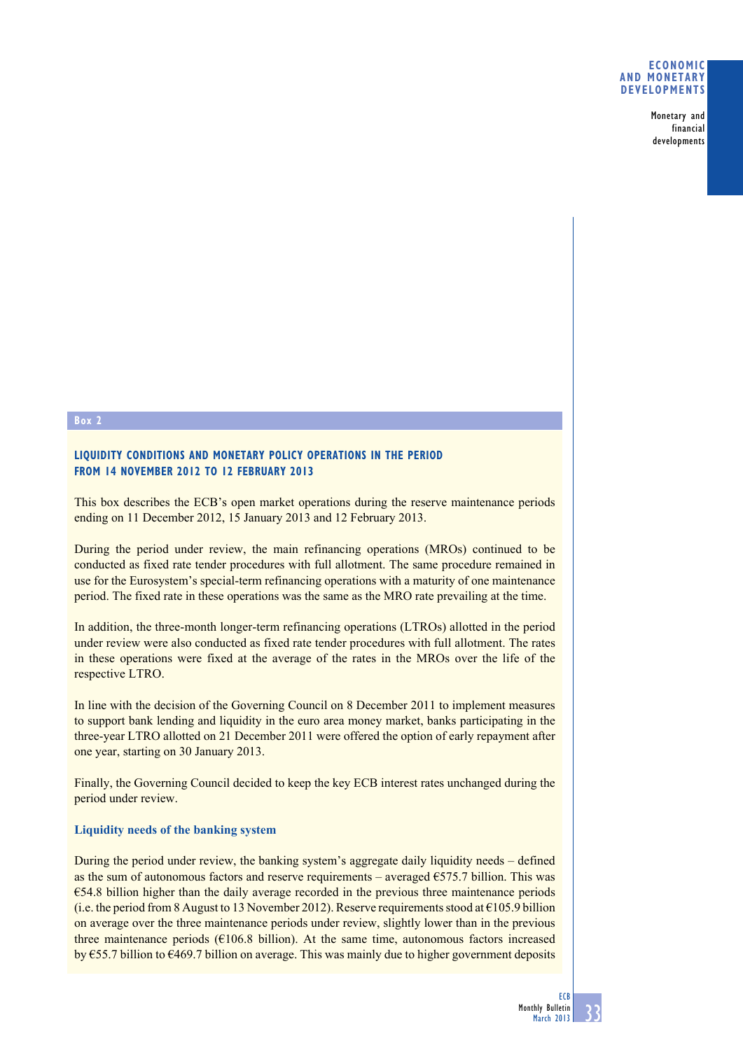#### **Economic and monetary developments**

Monetary and financial developments

# **Box 2**

# **Liquidity conditions and monetary policy operations in the period from 14 November 2012 to 12 February 2013**

This box describes the ECB's open market operations during the reserve maintenance periods ending on 11 December 2012, 15 January 2013 and 12 February 2013.

During the period under review, the main refinancing operations (MROs) continued to be conducted as fixed rate tender procedures with full allotment. The same procedure remained in use for the Eurosystem's special-term refinancing operations with a maturity of one maintenance period. The fixed rate in these operations was the same as the MRO rate prevailing at the time.

In addition, the three-month longer-term refinancing operations (LTROs) allotted in the period under review were also conducted as fixed rate tender procedures with full allotment. The rates in these operations were fixed at the average of the rates in the MROs over the life of the respective LTRO.

In line with the decision of the Governing Council on 8 December 2011 to implement measures to support bank lending and liquidity in the euro area money market, banks participating in the three-year LTRO allotted on 21 December 2011 were offered the option of early repayment after one year, starting on 30 January 2013.

Finally, the Governing Council decided to keep the key ECB interest rates unchanged during the period under review.

# **Liquidity needs of the banking system**

During the period under review, the banking system's aggregate daily liquidity needs – defined as the sum of autonomous factors and reserve requirements – averaged  $\epsilon$ 575.7 billion. This was €54.8 billion higher than the daily average recorded in the previous three maintenance periods (i.e. the period from 8 August to 13 November 2012). Reserve requirements stood at  $\epsilon$ 105.9 billion on average over the three maintenance periods under review, slightly lower than in the previous three maintenance periods ( $E106.8$  billion). At the same time, autonomous factors increased by €55.7 billion to €469.7 billion on average. This was mainly due to higher government deposits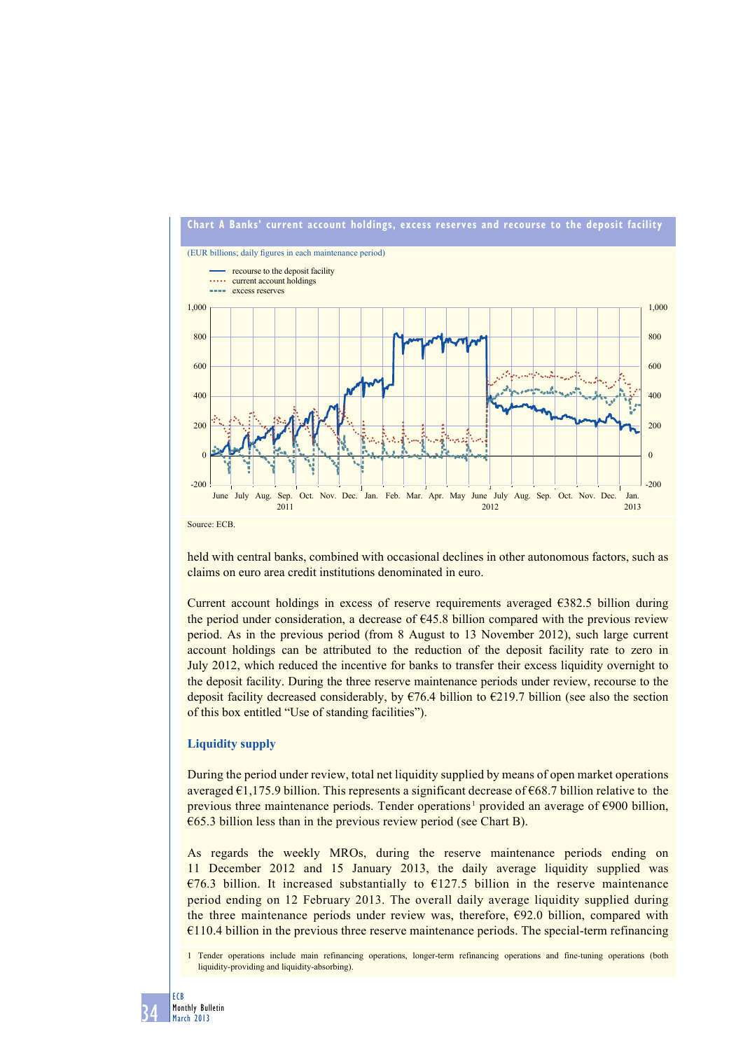

held with central banks, combined with occasional declines in other autonomous factors, such as claims on euro area credit institutions denominated in euro.

Current account holdings in excess of reserve requirements averaged €382.5 billion during the period under consideration, a decrease of  $\epsilon$ 45.8 billion compared with the previous review period. As in the previous period (from 8 August to 13 November 2012), such large current account holdings can be attributed to the reduction of the deposit facility rate to zero in July 2012, which reduced the incentive for banks to transfer their excess liquidity overnight to the deposit facility. During the three reserve maintenance periods under review, recourse to the deposit facility decreased considerably, by  $\epsilon$ 76.4 billion to  $\epsilon$ 219.7 billion (see also the section of this box entitled "Use of standing facilities").

#### **Liquidity supply**

During the period under review, total net liquidity supplied by means of open market operations averaged  $\epsilon$ 1,175.9 billion. This represents a significant decrease of  $\epsilon$ 68.7 billion relative to the previous three maintenance periods. Tender operations<sup>1</sup> provided an average of €900 billion,  $\epsilon$ 65.3 billion less than in the previous review period (see Chart B).

As regards the weekly MROs, during the reserve maintenance periods ending on 11 December 2012 and 15 January 2013, the daily average liquidity supplied was  $\epsilon$ 76.3 billion. It increased substantially to  $\epsilon$ 127.5 billion in the reserve maintenance period ending on 12 February 2013. The overall daily average liquidity supplied during the three maintenance periods under review was, therefore,  $E92.0$  billion, compared with  $€110.4$  billion in the previous three reserve maintenance periods. The special-term refinancing

1 Tender operations include main refinancing operations, longer-term refinancing operations and fine-tuning operations (both liquidity-providing and liquidity-absorbing).

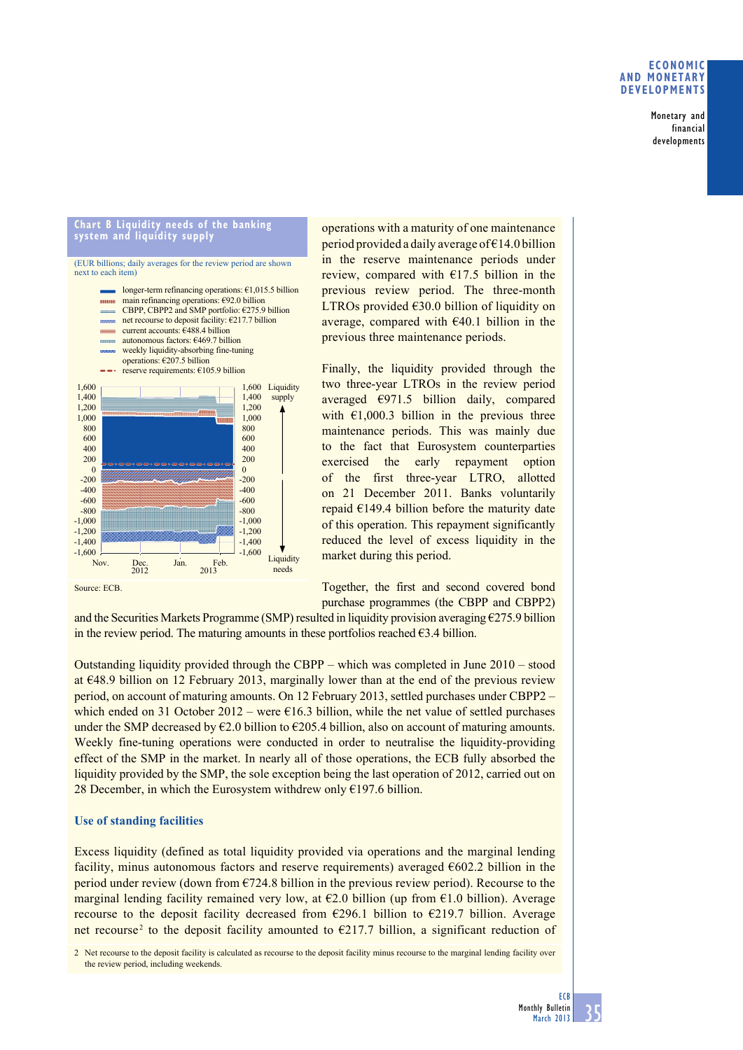### **economic and monetary deVeloPmentS**

Monetary and financial developments

#### **chart b liquidity needs of the banking system and liquidity supply**

(EUR billions; daily averages for the review period are shown next to each item)



operations with a maturity of one maintenance period provided a daily average of  $\epsilon$ 14.0 billion in the reserve maintenance periods under review, compared with  $E17.5$  billion in the previous review period. The three-month LTROs provided €30.0 billion of liquidity on average, compared with  $\epsilon$ 40.1 billion in the previous three maintenance periods.

Finally, the liquidity provided through the two three-year LTROs in the review period averaged  $€971.5$  billion daily, compared with  $\epsilon$ 1,000.3 billion in the previous three maintenance periods. This was mainly due to the fact that Eurosystem counterparties exercised the early repayment option of the first three-year LTRO, allotted on 21 December 2011. Banks voluntarily repaid €149.4 billion before the maturity date of this operation. This repayment significantly reduced the level of excess liquidity in the market during this period.

Together, the first and second covered bond purchase programmes (the CBPP and CBPP2)

and the Securities Markets Programme (SMP) resulted in liquidity provision averaging  $\epsilon$ 275.9 billion in the review period. The maturing amounts in these portfolios reached  $\epsilon$ 3.4 billion.

Outstanding liquidity provided through the CBPP – which was completed in June 2010 – stood at €48.9 billion on 12 February 2013, marginally lower than at the end of the previous review period, on account of maturing amounts. On 12 February 2013, settled purchases under CBPP2 – which ended on 31 October 2012 – were  $\epsilon$ 16.3 billion, while the net value of settled purchases under the SMP decreased by  $\epsilon$ 2.0 billion to  $\epsilon$ 205.4 billion, also on account of maturing amounts. Weekly fine-tuning operations were conducted in order to neutralise the liquidity-providing effect of the SMP in the market. In nearly all of those operations, the ECB fully absorbed the liquidity provided by the SMP, the sole exception being the last operation of 2012, carried out on 28 December, in which the Eurosystem withdrew only  $£197.6$  billion.

# **Use of standing facilities**

Excess liquidity (defined as total liquidity provided via operations and the marginal lending facility, minus autonomous factors and reserve requirements) averaged  $\epsilon$ 602.2 billion in the period under review (down from  $\epsilon$ 724.8 billion in the previous review period). Recourse to the marginal lending facility remained very low, at  $\epsilon$ 2.0 billion (up from  $\epsilon$ 1.0 billion). Average recourse to the deposit facility decreased from  $\epsilon$ 296.1 billion to  $\epsilon$ 219.7 billion. Average net recourse<sup>2</sup> to the deposit facility amounted to  $\epsilon$ 217.7 billion, a significant reduction of

2 Net recourse to the deposit facility is calculated as recourse to the deposit facility minus recourse to the marginal lending facility over the review period, including weekends.